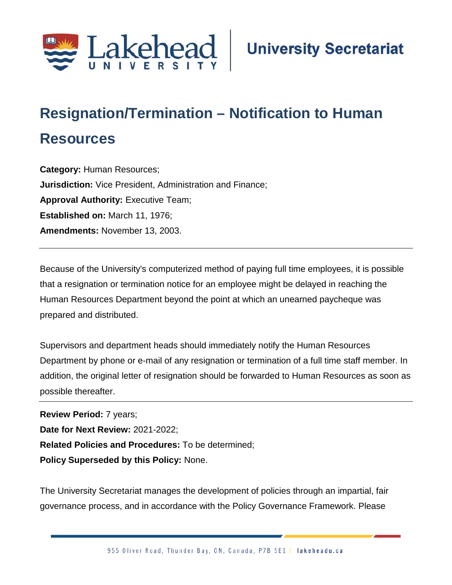

## **Resignation/Termination – Notification to Human Resources**

**Category:** Human Resources; **Jurisdiction:** Vice President, Administration and Finance; **Approval Authority: Executive Team; Established on:** March 11, 1976; **Amendments:** November 13, 2003.

Because of the University's computerized method of paying full time employees, it is possible that a resignation or termination notice for an employee might be delayed in reaching the Human Resources Department beyond the point at which an unearned paycheque was prepared and distributed.

Supervisors and department heads should immediately notify the Human Resources Department by phone or e-mail of any resignation or termination of a full time staff member. In addition, the original letter of resignation should be forwarded to Human Resources as soon as possible thereafter.

**Review Period:** 7 years; **Date for Next Review:** 2021-2022; **Related Policies and Procedures:** To be determined; **Policy Superseded by this Policy:** None.

The University Secretariat manages the development of policies through an impartial, fair governance process, and in accordance with the Policy Governance Framework. Please